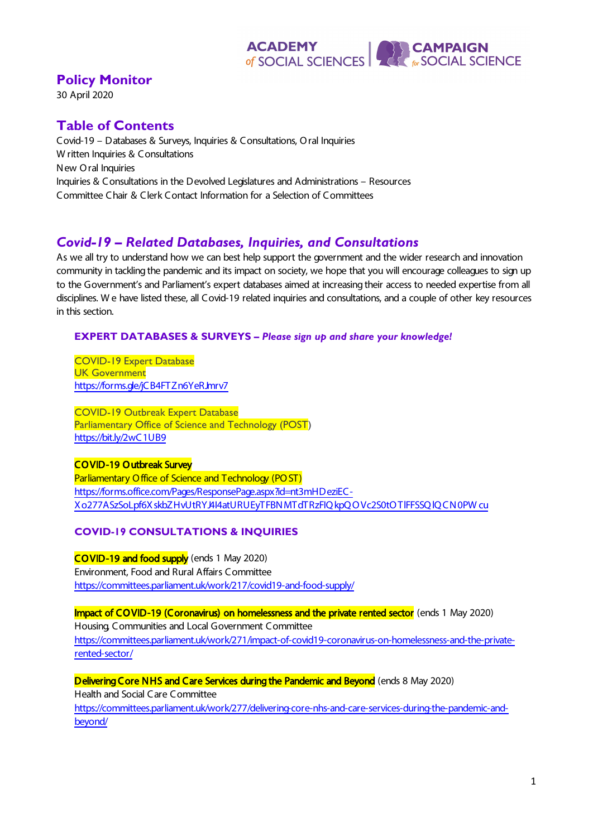#### **EXPERIENCE**<br>
For SOCIAL SCIENCE **ACADEMY** of SOCIAL SCIENCES

**Policy Monitor**

30 April 2020

# **Table of Contents**

Covid-19 – Databases & Surveys, Inquiries & Consultations, O ral Inquiries W ritten Inquiries & Consultations New O ral Inquiries Inquiries & Consultations in the Devolved Legislatures and Administrations – Resources Committee Chair & Clerk Contact Information for a Selection of Committees

# *Covid-19 – Related Databases, Inquiries, and Consultations*

As we all try to understand how we can best help support the government and the wider research and innovation community in tackling the pandemic and its impact on society, we hope that you will encourage colleagues to sign up to the Government's and Parliament's expert databases aimed at increasing their access to needed expertise from all disciplines. W e have listed these, all Covid-19 related inquiries and consultations, and a couple of other key resources in this section.

## **EXPERT DATABASES & SURVEYS –** *Please sign up and share your knowledge!*

COVID-19 Expert Database UK Government https://forms.de/jCB4FTZn6YeRJmrv7

COVID-19 Outbreak Expert Database Parliamentary Office of Science and Technology (POST) <https://bit.ly/2wC1UB9>

## CO VID-19 Outbreak Survey

Parliamentary O ffice of Science and Technology (PO ST) [https://forms.office.com/Pages/ResponsePage.aspx?id=nt3mHDeziEC-](https://forms.office.com/Pages/ResponsePage.aspx?id=nt3mHDeziEC-Xo277ASzSoLpf6XskbZHvUtRYJ4I4atURUEyTFBNMTdTRzFIQkpQOVc2S0tOTlFFSSQlQCN0PWcu)[Xo277ASzSoLpf6XskbZHvUtRYJ4I4atURUEyTFBNMTdTRzFIQ kpQ O Vc2S0tO TlFFSSQ lQ CN0PW cu](https://forms.office.com/Pages/ResponsePage.aspx?id=nt3mHDeziEC-Xo277ASzSoLpf6XskbZHvUtRYJ4I4atURUEyTFBNMTdTRzFIQkpQOVc2S0tOTlFFSSQlQCN0PWcu)

# **COVID-19 CONSULTATIONS & INQUIRIES**

COVID-19 and food supply (ends 1 May 2020) Environment, Food and Rural Affairs Committee <https://committees.parliament.uk/work/217/covid19-and-food-supply/>

Impact of COVID-19 (Coronavirus) on homelessness and the private rented sector (ends 1 May 2020) Housing, Communities and Local Government Committee [https://committees.parliament.uk/work/271/impact-of-covid19-coronavirus-on-homelessness-and-the-private](https://committees.parliament.uk/work/271/impact-of-covid19-coronavirus-on-homelessness-and-the-private-rented-sector/)[rented-sector/](https://committees.parliament.uk/work/271/impact-of-covid19-coronavirus-on-homelessness-and-the-private-rented-sector/)

Delivering Core NHS and Care Services during the Pandemic and Beyond (ends 8 May 2020) Health and Social Care Committee [https://committees.parliament.uk/work/277/delivering-core-nhs-and-care-services-during-the-pandemic-and-](https://committees.parliament.uk/work/277/delivering-core-nhs-and-care-services-during-the-pandemic-and-beyond/)

[beyond/](https://committees.parliament.uk/work/277/delivering-core-nhs-and-care-services-during-the-pandemic-and-beyond/)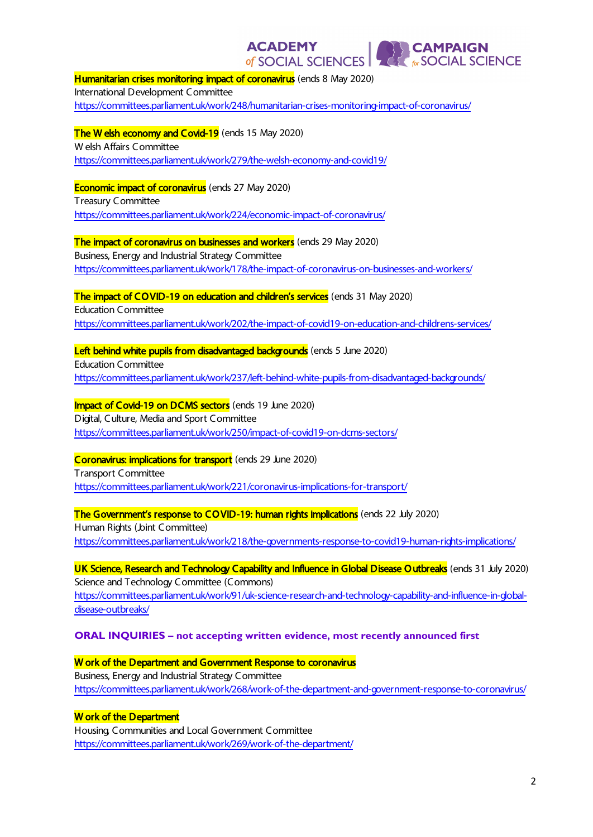**ACADEMY EXPERIENCE**<br> **EXPERIENCE** of SOCIAL SCIENCES Humanitarian crises monitoring impact of coronavirus (ends 8 May 2020) International Development Committee <https://committees.parliament.uk/work/248/humanitarian-crises-monitoring-impact-of-coronavirus/> The W elsh economy and Covid-19 (ends 15 May 2020) W elsh Affairs Committee <https://committees.parliament.uk/work/279/the-welsh-economy-and-covid19/> **Economic impact of coronavirus** (ends 27 May 2020) Treasury Committee <https://committees.parliament.uk/work/224/economic-impact-of-coronavirus/> **The impact of coronavirus on businesses and workers** (ends 29 May 2020) Business, Energy and Industrial Strategy Committee <https://committees.parliament.uk/work/178/the-impact-of-coronavirus-on-businesses-and-workers/> The impact of COVID-19 on education and children's services (ends 31 May 2020) Education Committee <https://committees.parliament.uk/work/202/the-impact-of-covid19-on-education-and-childrens-services/> Left behind white pupils from disadvantaged backgrounds (ends 5 June 2020) Education Committee <https://committees.parliament.uk/work/237/left-behind-white-pupils-from-disadvantaged-backgrounds/> Impact of Covid-19 on DCMS sectors (ends 19 June 2020) Digital, Culture, Media and Sport Committee <https://committees.parliament.uk/work/250/impact-of-covid19-on-dcms-sectors/> Coronavirus: implications for transport (ends 29 June 2020) Transport Committee <https://committees.parliament.uk/work/221/coronavirus-implications-for-transport/> The Government's response to COVID-19: human rights implications (ends 22 July 2020) Human Rights (Joint Committee) <https://committees.parliament.uk/work/218/the-governments-response-to-covid19-human-rights-implications/> UK Science, Research and Technology Capability and Influence in Global Disease Outbreaks (ends 31 July 2020) Science and Technology Committee (Commons) [https://committees.parliament.uk/work/91/uk-science-research-and-technology-capability-and-influence-in-global](https://committees.parliament.uk/work/91/uk-science-research-and-technology-capability-and-influence-in-global-disease-outbreaks/)[disease-outbreaks/](https://committees.parliament.uk/work/91/uk-science-research-and-technology-capability-and-influence-in-global-disease-outbreaks/) **ORAL INQUIRIES – not accepting written evidence, most recently announced first**

W ork of the Department and Government Response to coronavirus Business, Energy and Industrial Strategy Committee <https://committees.parliament.uk/work/268/work-of-the-department-and-government-response-to-coronavirus/>

W ork of the Department

Housing, Communities and Local Government Committee <https://committees.parliament.uk/work/269/work-of-the-department/>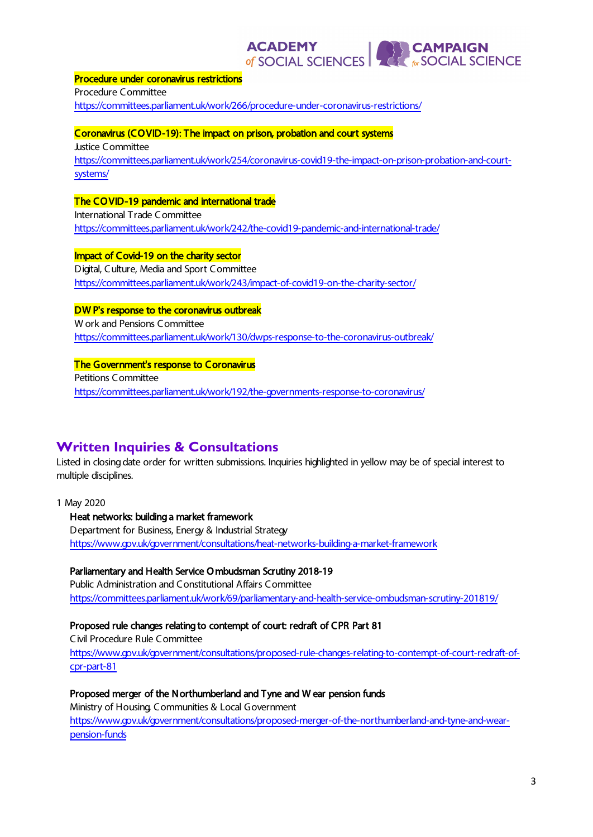**ACADEMY**<br>of SOCIAL SCIENCES

**CAMPAIGN<br>The SOCIAL SCIENCE** 

#### Procedure under coronavirus restrictions

Procedure Committee <https://committees.parliament.uk/work/266/procedure-under-coronavirus-restrictions/>

#### Coronavirus (CO VID-19): The impact on prison, probation and court systems

Justice Committee [https://committees.parliament.uk/work/254/coronavirus-covid19-the-impact-on-prison-probation-and-court](https://committees.parliament.uk/work/254/coronavirus-covid19-the-impact-on-prison-probation-and-court-systems/)[systems/](https://committees.parliament.uk/work/254/coronavirus-covid19-the-impact-on-prison-probation-and-court-systems/)

#### The CO VID-19 pandemic and international trade

International Trade Committee <https://committees.parliament.uk/work/242/the-covid19-pandemic-and-international-trade/>

## Impact of Covid-19 on the charity sector

Digital, Culture, Media and Sport Committee <https://committees.parliament.uk/work/243/impact-of-covid19-on-the-charity-sector/>

#### DW P's response to the coronavirus outbreak

W ork and Pensions Committee <https://committees.parliament.uk/work/130/dwps-response-to-the-coronavirus-outbreak/>

#### The Government's response to Coronavirus Petitions Committee

<https://committees.parliament.uk/work/192/the-governments-response-to-coronavirus/>

# **Written Inquiries & Consultations**

Listed in closing date order for written submissions. Inquiries highlighted in yellow may be of special interest to multiple disciplines.

1 May 2020

#### Heat networks: building a market framework

Department for Business, Energy & Industrial Strategy <https://www.gov.uk/government/consultations/heat-networks-building-a-market-framework>

#### Parliamentary and Health Service O mbudsman Scrutiny 2018-19

Public Administration and Constitutional Affairs Committee <https://committees.parliament.uk/work/69/parliamentary-and-health-service-ombudsman-scrutiny-201819/>

## Proposed rule changes relating to contempt of court: redraft of CPR Part 81

Civil Procedure Rule Committee [https://www.gov.uk/government/consultations/proposed-rule-changes-relating-to-contempt-of-court-redraft-of](https://www.gov.uk/government/consultations/proposed-rule-changes-relating-to-contempt-of-court-redraft-of-cpr-part-81)[cpr-part-81](https://www.gov.uk/government/consultations/proposed-rule-changes-relating-to-contempt-of-court-redraft-of-cpr-part-81)

## Proposed merger of the Northumberland and Tyne and W ear pension funds

Ministry of Housing, Communities & Local Government

[https://www.gov.uk/government/consultations/proposed-merger-of-the-northumberland-and-tyne-and-wear](https://www.gov.uk/government/consultations/proposed-merger-of-the-northumberland-and-tyne-and-wear-pension-funds)[pension-funds](https://www.gov.uk/government/consultations/proposed-merger-of-the-northumberland-and-tyne-and-wear-pension-funds)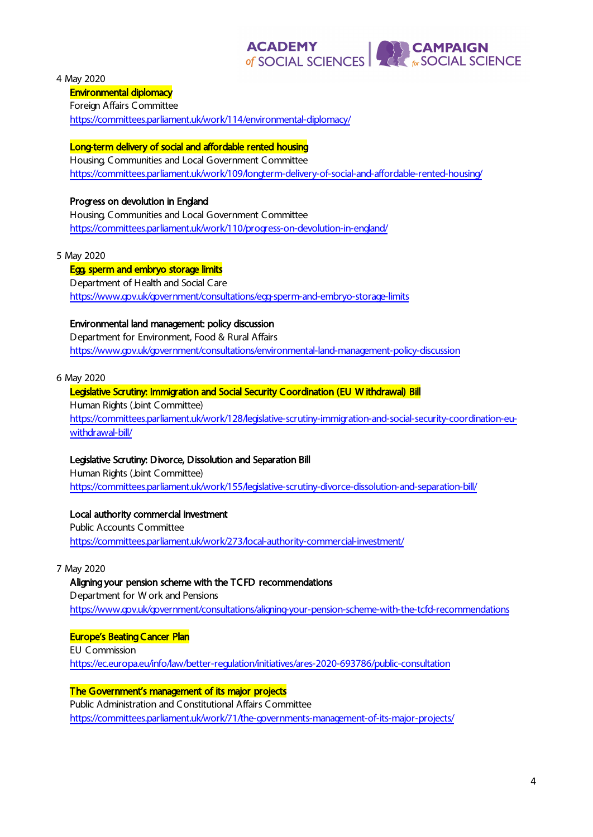# **ACADEMY**<br>of SOCIAL SCIENCES **EXPERIENCE**<br> **EXPRESSIONAL SCIENCE**

4 May 2020

#### Environmental diplomacy

Foreign Affairs Committee

<https://committees.parliament.uk/work/114/environmental-diplomacy/>

#### Long-term delivery of social and affordable rented housing

Housing, Communities and Local Government Committee <https://committees.parliament.uk/work/109/longterm-delivery-of-social-and-affordable-rented-housing/>

#### Progress on devolution in England

Housing, Communities and Local Government Committee <https://committees.parliament.uk/work/110/progress-on-devolution-in-england/>

#### 5 May 2020

#### Egg, sperm and embryo storage limits

Department of Health and Social Care <https://www.gov.uk/government/consultations/egg-sperm-and-embryo-storage-limits>

#### Environmental land management: policy discussion

Department for Environment, Food & Rural Affairs <https://www.gov.uk/government/consultations/environmental-land-management-policy-discussion>

6 May 2020

#### Legislative Scrutiny: Immigration and Social Security Coordination (EU W ithdrawal) Bill

Human Rights (Joint Committee) [https://committees.parliament.uk/work/128/legislative-scrutiny-immigration-and-social-security-coordination-eu](https://committees.parliament.uk/work/128/legislative-scrutiny-immigration-and-social-security-coordination-eu-withdrawal-bill/)[withdrawal-bill/](https://committees.parliament.uk/work/128/legislative-scrutiny-immigration-and-social-security-coordination-eu-withdrawal-bill/)

#### Legislative Scrutiny: Divorce, Dissolution and Separation Bill

Human Rights (Joint Committee) <https://committees.parliament.uk/work/155/legislative-scrutiny-divorce-dissolution-and-separation-bill/>

#### Local authority commercial investment

Public Accounts Committee <https://committees.parliament.uk/work/273/local-authority-commercial-investment/>

7 May 2020

#### Aligning your pension scheme with the TCFD recommendations

Department for W ork and Pensions <https://www.gov.uk/government/consultations/aligning-your-pension-scheme-with-the-tcfd-recommendations>

#### Europe's Beating Cancer Plan

EU Commission <https://ec.europa.eu/info/law/better-regulation/initiatives/ares-2020-693786/public-consultation>

#### The Government's management of its major projects

Public Administration and Constitutional Affairs Committee <https://committees.parliament.uk/work/71/the-governments-management-of-its-major-projects/>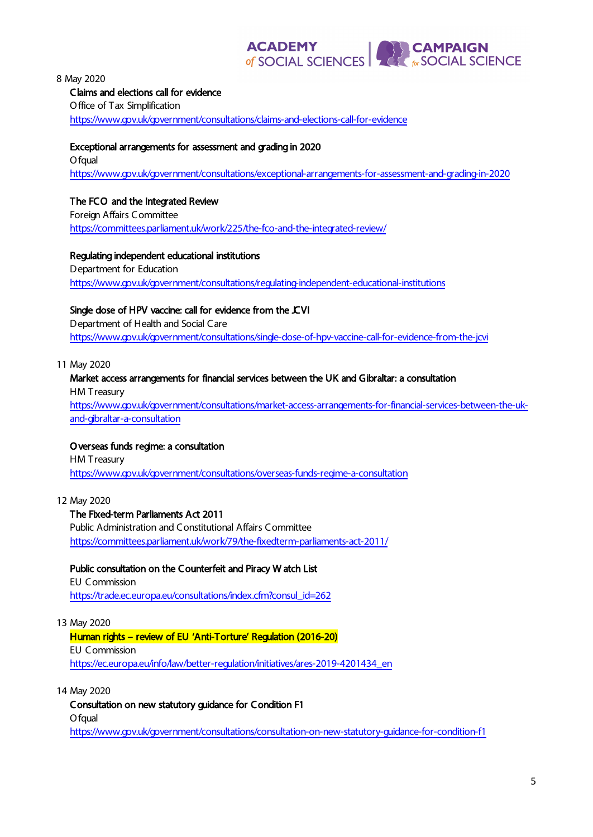# **ACADEMY**<br>of SOCIAL SCIENCES **EXPERIENCE**<br>
For SOCIAL SCIENCE

8 May 2020

#### Claims and elections call for evidence

Office of Tax Simplification <https://www.gov.uk/government/consultations/claims-and-elections-call-for-evidence>

#### Exceptional arrangements for assessment and grading in 2020

O fqual <https://www.gov.uk/government/consultations/exceptional-arrangements-for-assessment-and-grading-in-2020>

# The FCO and the Integrated Review

Foreign Affairs Committee <https://committees.parliament.uk/work/225/the-fco-and-the-integrated-review/>

## Regulating independent educational institutions

Department for Education <https://www.gov.uk/government/consultations/regulating-independent-educational-institutions>

# Single dose of HPV vaccine: call for evidence from the CVI

Department of Health and Social Care <https://www.gov.uk/government/consultations/single-dose-of-hpv-vaccine-call-for-evidence-from-the-jcvi>

11 May 2020

## Market access arrangements for financial services between the UK and Gibraltar: a consultation

HM Treasury

[https://www.gov.uk/government/consultations/market-access-arrangements-for-financial-services-between-the-uk](https://www.gov.uk/government/consultations/market-access-arrangements-for-financial-services-between-the-uk-and-gibraltar-a-consultation)[and-gibraltar-a-consultation](https://www.gov.uk/government/consultations/market-access-arrangements-for-financial-services-between-the-uk-and-gibraltar-a-consultation)

## O verseas funds regime: a consultation

HM Treasury <https://www.gov.uk/government/consultations/overseas-funds-regime-a-consultation>

12 May 2020

## The Fixed-term Parliaments Act 2011

Public Administration and Constitutional Affairs Committee <https://committees.parliament.uk/work/79/the-fixedterm-parliaments-act-2011/>

## Public consultation on the Counterfeit and Piracy W atch List

EU Commission [https://trade.ec.europa.eu/consultations/index.cfm?consul\\_id=262](https://trade.ec.europa.eu/consultations/index.cfm?consul_id=262)

## 13 May 2020

Human rights – review of EU 'Anti-Torture' Regulation (2016-20) EU Commission [https://ec.europa.eu/info/law/better-regulation/initiatives/ares-2019-4201434\\_en](https://ec.europa.eu/info/law/better-regulation/initiatives/ares-2019-4201434_en)

14 May 2020

Consultation on new statutory guidance for Condition F1 O fqual <https://www.gov.uk/government/consultations/consultation-on-new-statutory-guidance-for-condition-f1>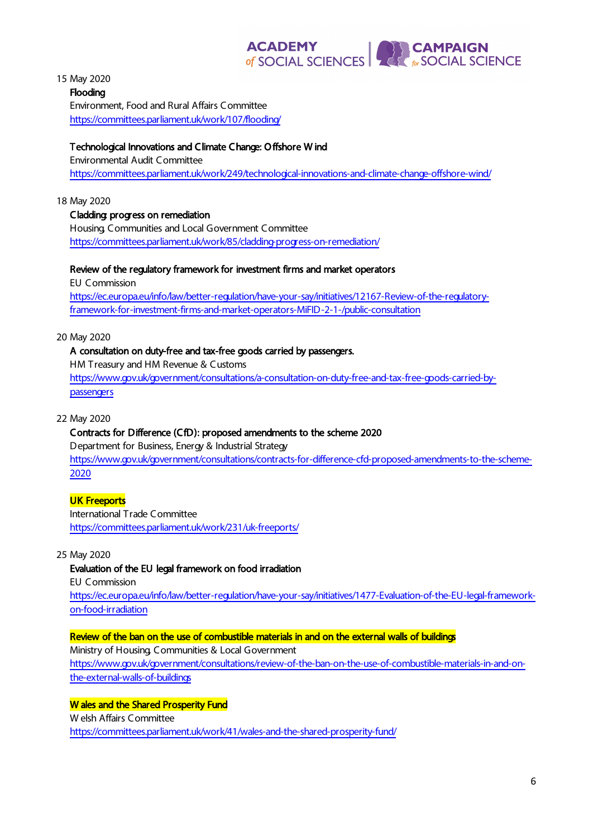# **ACADEMY**<br>
of SOCIAL SCIENCES **EXPERIENCE**<br> **EXPRESSIONAL SCIENCE**

15 May 2020

Flooding Environment, Food and Rural Affairs Committee <https://committees.parliament.uk/work/107/flooding/>

## Technological Innovations and Climate Change: O ffshore W ind

Environmental Audit Committee <https://committees.parliament.uk/work/249/technological-innovations-and-climate-change-offshore-wind/>

18 May 2020

## Cladding: progress on remediation

Housing, Communities and Local Government Committee <https://committees.parliament.uk/work/85/cladding-progress-on-remediation/>

#### Review of the regulatory framework for investment firms and market operators

EU Commission [https://ec.europa.eu/info/law/better-regulation/have-your-say/initiatives/12167-Review-of-the-regulatory](https://ec.europa.eu/info/law/better-regulation/have-your-say/initiatives/12167-Review-of-the-regulatory-framework-for-investment-firms-and-market-operators-MiFID-2-1-/public-consultation)[framework-for-investment-firms-and-market-operators-MiFID-2-1-/public-consultation](https://ec.europa.eu/info/law/better-regulation/have-your-say/initiatives/12167-Review-of-the-regulatory-framework-for-investment-firms-and-market-operators-MiFID-2-1-/public-consultation)

#### 20 May 2020

# A consultation on duty-free and tax-free goods carried by passengers.

HM Treasury and HM Revenue & Customs [https://www.gov.uk/government/consultations/a-consultation-on-duty-free-and-tax-free-goods-carried-by](https://www.gov.uk/government/consultations/a-consultation-on-duty-free-and-tax-free-goods-carried-by-passengers)[passengers](https://www.gov.uk/government/consultations/a-consultation-on-duty-free-and-tax-free-goods-carried-by-passengers)

#### 22 May 2020

#### Contracts for Difference (CfD): proposed amendments to the scheme 2020

Department for Business, Energy & Industrial Strategy [https://www.gov.uk/government/consultations/contracts-for-difference-cfd-proposed-amendments-to-the-scheme-](https://www.gov.uk/government/consultations/contracts-for-difference-cfd-proposed-amendments-to-the-scheme-2020)[2020](https://www.gov.uk/government/consultations/contracts-for-difference-cfd-proposed-amendments-to-the-scheme-2020)

## UK Freeports

International Trade Committee <https://committees.parliament.uk/work/231/uk-freeports/>

#### 25 May 2020

#### Evaluation of the EU legal framework on food irradiation

EU Commission [https://ec.europa.eu/info/law/better-regulation/have-your-say/initiatives/1477-Evaluation-of-the-EU-legal-framework](https://ec.europa.eu/info/law/better-regulation/have-your-say/initiatives/1477-Evaluation-of-the-EU-legal-framework-on-food-irradiation)[on-food-irradiation](https://ec.europa.eu/info/law/better-regulation/have-your-say/initiatives/1477-Evaluation-of-the-EU-legal-framework-on-food-irradiation)

# Review of the ban on the use of combustible materials in and on the external walls of buildings

Ministry of Housing, Communities & Local Government

[https://www.gov.uk/government/consultations/review-of-the-ban-on-the-use-of-combustible-materials-in-and-on](https://www.gov.uk/government/consultations/review-of-the-ban-on-the-use-of-combustible-materials-in-and-on-the-external-walls-of-buildings)[the-external-walls-of-buildings](https://www.gov.uk/government/consultations/review-of-the-ban-on-the-use-of-combustible-materials-in-and-on-the-external-walls-of-buildings)

# W ales and the Shared Prosperity Fund

W elsh Affairs Committee

<https://committees.parliament.uk/work/41/wales-and-the-shared-prosperity-fund/>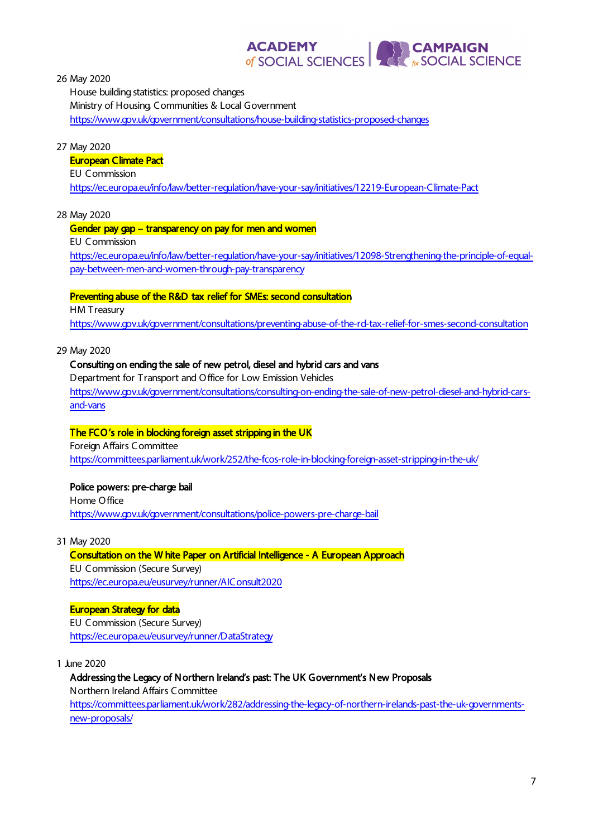

26 May 2020

House building statistics: proposed changes Ministry of Housing, Communities & Local Government <https://www.gov.uk/government/consultations/house-building-statistics-proposed-changes>

27 May 2020

#### European Climate Pact

EU Commission

<https://ec.europa.eu/info/law/better-regulation/have-your-say/initiatives/12219-European-Climate-Pact>

28 May 2020

#### Gender pay gap – transparency on pay for men and women

EU Commission

[https://ec.europa.eu/info/law/better-regulation/have-your-say/initiatives/12098-Strengthening-the-principle-of-equal](https://ec.europa.eu/info/law/better-regulation/have-your-say/initiatives/12098-Strengthening-the-principle-of-equal-pay-between-men-and-women-through-pay-transparency)[pay-between-men-and-women-through-pay-transparency](https://ec.europa.eu/info/law/better-regulation/have-your-say/initiatives/12098-Strengthening-the-principle-of-equal-pay-between-men-and-women-through-pay-transparency)

#### Preventing abuse of the R&D tax relief for SMEs: second consultation

HM Treasury

<https://www.gov.uk/government/consultations/preventing-abuse-of-the-rd-tax-relief-for-smes-second-consultation>

29 May 2020

## Consulting on ending the sale of new petrol, diesel and hybrid cars and vans

Department for Transport and O ffice for Low Emission Vehicles [https://www.gov.uk/government/consultations/consulting-on-ending-the-sale-of-new-petrol-diesel-and-hybrid-cars](https://www.gov.uk/government/consultations/consulting-on-ending-the-sale-of-new-petrol-diesel-and-hybrid-cars-and-vans)[and-vans](https://www.gov.uk/government/consultations/consulting-on-ending-the-sale-of-new-petrol-diesel-and-hybrid-cars-and-vans)

## The FCO 's role in blocking foreign asset stripping in the UK

Foreign Affairs Committee <https://committees.parliament.uk/work/252/the-fcos-role-in-blocking-foreign-asset-stripping-in-the-uk/>

## Police powers: pre-charge bail

Home O ffice <https://www.gov.uk/government/consultations/police-powers-pre-charge-bail>

31 May 2020

## Consultation on the W hite Paper on Artificial Intelligence - A European Approach

EU Commission (Secure Survey) <https://ec.europa.eu/eusurvey/runner/AIConsult2020>

#### European Strategy for data

EU Commission (Secure Survey) <https://ec.europa.eu/eusurvey/runner/DataStrategy>

1 June 2020

Addressing the Legacy of Northern Ireland's past: The UK Government's New Proposals Northern Ireland Affairs Committee [https://committees.parliament.uk/work/282/addressing-the-legacy-of-northern-irelands-past-the-uk-governments](https://committees.parliament.uk/work/282/addressing-the-legacy-of-northern-irelands-past-the-uk-governments-new-proposals/)[new-proposals/](https://committees.parliament.uk/work/282/addressing-the-legacy-of-northern-irelands-past-the-uk-governments-new-proposals/)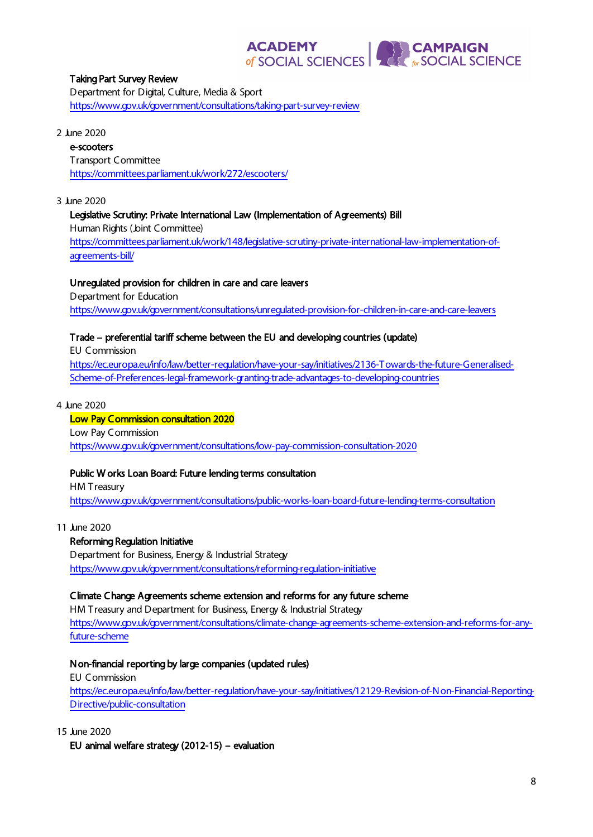# **ACADEMY** of SOCIAL SCIENCES

**EXPERIENCE**<br> **EXPRESSIONAL SCIENCE** 

#### Taking Part Survey Review

Department for Digital, Culture, Media & Sport <https://www.gov.uk/government/consultations/taking-part-survey-review>

#### 2 June 2020

# e-scooters

Transport Committee <https://committees.parliament.uk/work/272/escooters/>

#### 3 June 2020

#### Legislative Scrutiny: Private International Law (Implementation of Agreements) Bill

Human Rights (Joint Committee)

[https://committees.parliament.uk/work/148/legislative-scrutiny-private-international-law-implementation-of](https://committees.parliament.uk/work/148/legislative-scrutiny-private-international-law-implementation-of-agreements-bill/)[agreements-bill/](https://committees.parliament.uk/work/148/legislative-scrutiny-private-international-law-implementation-of-agreements-bill/)

#### Unregulated provision for children in care and care leavers

Department for Education <https://www.gov.uk/government/consultations/unregulated-provision-for-children-in-care-and-care-leavers>

## Trade – preferential tariff scheme between the EU and developing countries (update)

EU Commission

[https://ec.europa.eu/info/law/better-regulation/have-your-say/initiatives/2136-Towards-the-future-Generalised-](https://ec.europa.eu/info/law/better-regulation/have-your-say/initiatives/2136-Towards-the-future-Generalised-Scheme-of-Preferences-legal-framework-granting-trade-advantages-to-developing-countries)[Scheme-of-Preferences-legal-framework-granting-trade-advantages-to-developing-countries](https://ec.europa.eu/info/law/better-regulation/have-your-say/initiatives/2136-Towards-the-future-Generalised-Scheme-of-Preferences-legal-framework-granting-trade-advantages-to-developing-countries)

#### 4 June 2020

#### Low Pay Commission consultation 2020 Low Pay Commission <https://www.gov.uk/government/consultations/low-pay-commission-consultation-2020>

#### Public W orks Loan Board: Future lending terms consultation

HM Treasury <https://www.gov.uk/government/consultations/public-works-loan-board-future-lending-terms-consultation>

11 June 2020

#### Reforming Regulation Initiative

Department for Business, Energy & Industrial Strategy <https://www.gov.uk/government/consultations/reforming-regulation-initiative>

#### Climate Change Agreements scheme extension and reforms for any future scheme

HM Treasury and Department for Business, Energy & Industrial Strategy [https://www.gov.uk/government/consultations/climate-change-agreements-scheme-extension-and-reforms-for-any](https://www.gov.uk/government/consultations/climate-change-agreements-scheme-extension-and-reforms-for-any-future-scheme)[future-scheme](https://www.gov.uk/government/consultations/climate-change-agreements-scheme-extension-and-reforms-for-any-future-scheme)

#### Non-financial reporting by large companies (updated rules)

EU Commission [https://ec.europa.eu/info/law/better-regulation/have-your-say/initiatives/12129-Revision-of-Non-Financial-Reporting-](https://ec.europa.eu/info/law/better-regulation/have-your-say/initiatives/12129-Revision-of-Non-Financial-Reporting-Directive/public-consultation)[Directive/public-consultation](https://ec.europa.eu/info/law/better-regulation/have-your-say/initiatives/12129-Revision-of-Non-Financial-Reporting-Directive/public-consultation)

15 June 2020

EU animal welfare strategy (2012-15) – evaluation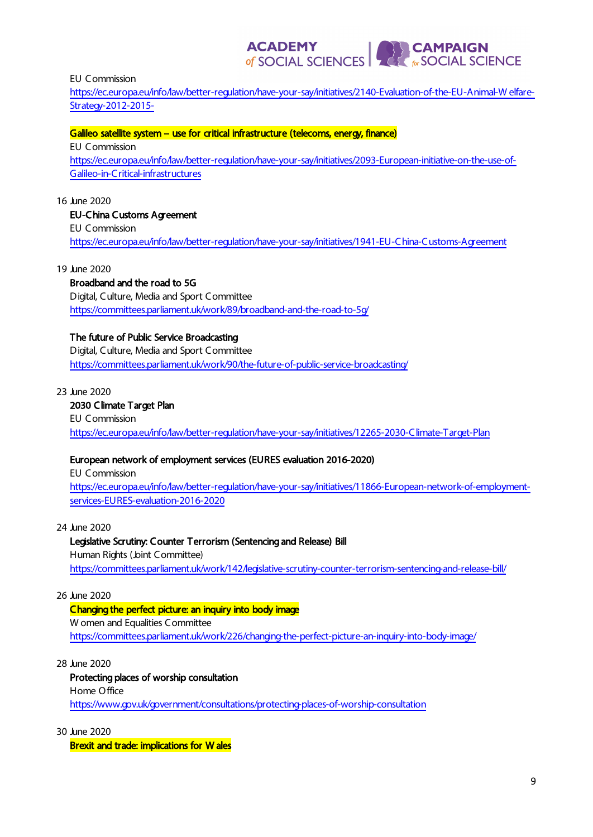EU Commission

[https://ec.europa.eu/info/law/better-regulation/have-your-say/initiatives/2140-Evaluation-of-the-EU-Animal-W elfare-](https://ec.europa.eu/info/law/better-regulation/have-your-say/initiatives/2140-Evaluation-of-the-EU-Animal-Welfare-Strategy-2012-2015-)[Strategy-2012-2015-](https://ec.europa.eu/info/law/better-regulation/have-your-say/initiatives/2140-Evaluation-of-the-EU-Animal-Welfare-Strategy-2012-2015-)

of SOCIAL SCIENCES

**CAMPAIGN<br>FOCIAL SCIENCE** 

**ACADEMY** 

#### Galileo satellite system - use for critical infrastructure (telecoms, energy, finance)

EU Commission [https://ec.europa.eu/info/law/better-regulation/have-your-say/initiatives/2093-European-initiative-on-the-use-of-](https://ec.europa.eu/info/law/better-regulation/have-your-say/initiatives/2093-European-initiative-on-the-use-of-Galileo-in-Critical-infrastructures)[Galileo-in-Critical-infrastructures](https://ec.europa.eu/info/law/better-regulation/have-your-say/initiatives/2093-European-initiative-on-the-use-of-Galileo-in-Critical-infrastructures)

#### 16 June 2020

#### EU-China Customs Agreement

EU Commission

<https://ec.europa.eu/info/law/better-regulation/have-your-say/initiatives/1941-EU-China-Customs-Agreement>

19 June 2020

#### Broadband and the road to 5G

Digital, Culture, Media and Sport Committee <https://committees.parliament.uk/work/89/broadband-and-the-road-to-5g/>

#### The future of Public Service Broadcasting

Digital, Culture, Media and Sport Committee <https://committees.parliament.uk/work/90/the-future-of-public-service-broadcasting/>

#### 23 June 2020

#### 2030 Climate Target Plan

EU Commission <https://ec.europa.eu/info/law/better-regulation/have-your-say/initiatives/12265-2030-Climate-Target-Plan>

#### European network of employment services (EURES evaluation 2016-2020)

EU Commission [https://ec.europa.eu/info/law/better-regulation/have-your-say/initiatives/11866-European-network-of-employment](https://ec.europa.eu/info/law/better-regulation/have-your-say/initiatives/11866-European-network-of-employment-services-EURES-evaluation-2016-2020)[services-EURES-evaluation-2016-2020](https://ec.europa.eu/info/law/better-regulation/have-your-say/initiatives/11866-European-network-of-employment-services-EURES-evaluation-2016-2020)

24 June 2020

#### Legislative Scrutiny: Counter Terrorism (Sentencing and Release) Bill

Human Rights (Joint Committee) <https://committees.parliament.uk/work/142/legislative-scrutiny-counter-terrorism-sentencing-and-release-bill/>

#### 26 June 2020

#### Changing the perfect picture: an inquiry into body image

W omen and Equalities Committee <https://committees.parliament.uk/work/226/changing-the-perfect-picture-an-inquiry-into-body-image/>

28 June 2020

#### Protecting places of worship consultation

Home O ffice <https://www.gov.uk/government/consultations/protecting-places-of-worship-consultation>

30 June 2020

Brexit and trade: implications for W ales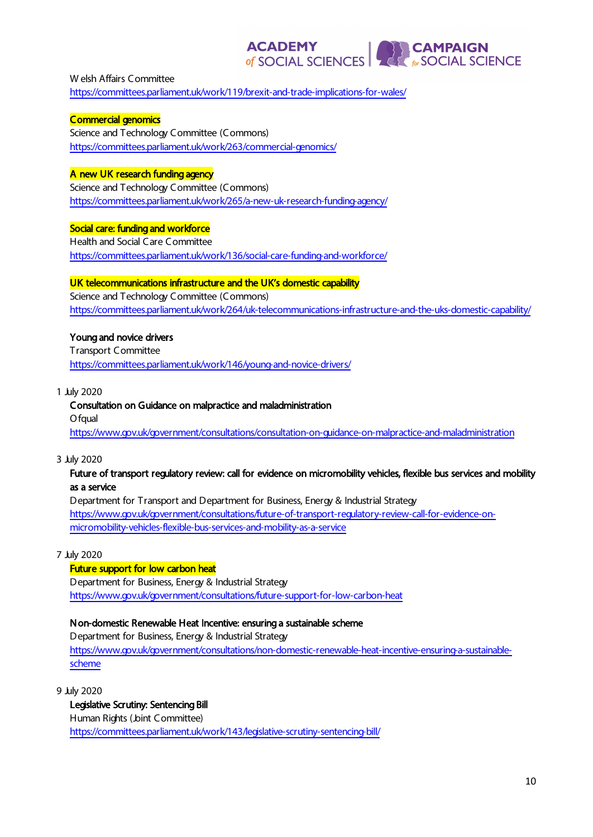**ACADEMY EXPERIENCE**<br> **EXPRESSIONAL SCIENCE** of SOCIAL SCIENCES

W elsh Affairs Committee <https://committees.parliament.uk/work/119/brexit-and-trade-implications-for-wales/>

Commercial genomics Science and Technology Committee (Commons) <https://committees.parliament.uk/work/263/commercial-genomics/>

## A new UK research funding agency

Science and Technology Committee (Commons) <https://committees.parliament.uk/work/265/a-new-uk-research-funding-agency/>

## Social care: funding and workforce

Health and Social Care Committee <https://committees.parliament.uk/work/136/social-care-funding-and-workforce/>

#### UK telecommunications infrastructure and the UK's domestic capability

Science and Technology Committee (Commons) <https://committees.parliament.uk/work/264/uk-telecommunications-infrastructure-and-the-uks-domestic-capability/>

#### Young and novice drivers

Transport Committee <https://committees.parliament.uk/work/146/young-and-novice-drivers/>

#### 1 July 2020

# Consultation on Guidance on malpractice and maladministration O faual

<https://www.gov.uk/government/consultations/consultation-on-guidance-on-malpractice-and-maladministration>

#### 3 July 2020

#### Future of transport regulatory review: call for evidence on micromobility vehicles, flexible bus services and mobility as a service

Department for Transport and Department for Business, Energy & Industrial Strategy [https://www.gov.uk/government/consultations/future-of-transport-regulatory-review-call-for-evidence-on](https://www.gov.uk/government/consultations/future-of-transport-regulatory-review-call-for-evidence-on-micromobility-vehicles-flexible-bus-services-and-mobility-as-a-service)[micromobility-vehicles-flexible-bus-services-and-mobility-as-a-service](https://www.gov.uk/government/consultations/future-of-transport-regulatory-review-call-for-evidence-on-micromobility-vehicles-flexible-bus-services-and-mobility-as-a-service)

#### 7 July 2020

#### Future support for low carbon heat

Department for Business, Energy & Industrial Strategy <https://www.gov.uk/government/consultations/future-support-for-low-carbon-heat>

#### Non-domestic Renewable Heat Incentive: ensuring a sustainable scheme

Department for Business, Energy & Industrial Strategy [https://www.gov.uk/government/consultations/non-domestic-renewable-heat-incentive-ensuring-a-sustainable](https://www.gov.uk/government/consultations/non-domestic-renewable-heat-incentive-ensuring-a-sustainable-scheme)[scheme](https://www.gov.uk/government/consultations/non-domestic-renewable-heat-incentive-ensuring-a-sustainable-scheme)

9 July 2020

Legislative Scrutiny: Sentencing Bill Human Rights (Joint Committee) <https://committees.parliament.uk/work/143/legislative-scrutiny-sentencing-bill/>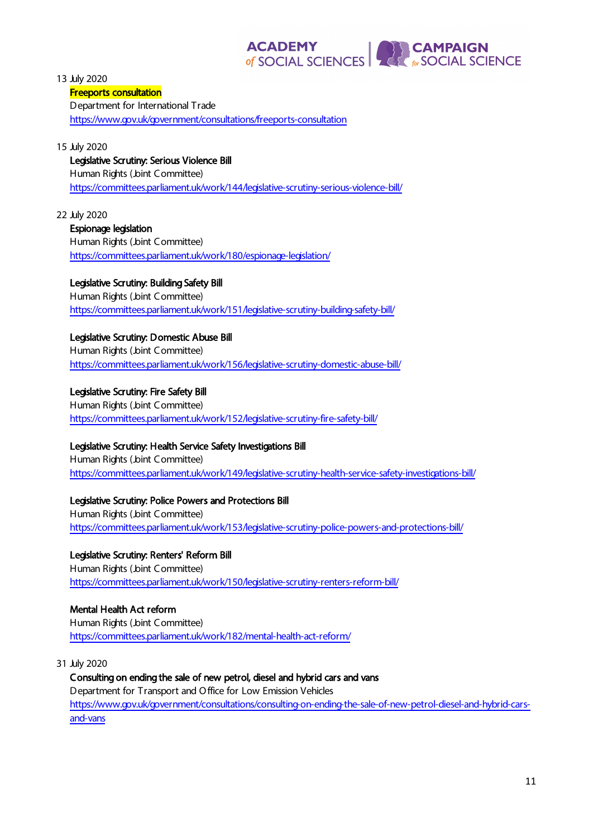#### **ACADEMY EXPERIENCE**<br>
For SOCIAL SCIENCE of SOCIAL SCIENCES

13 July 2020

## Freeports consultation

Department for International Trade <https://www.gov.uk/government/consultations/freeports-consultation>

## 15 July 2020

Legislative Scrutiny: Serious Violence Bill Human Rights (Joint Committee) <https://committees.parliament.uk/work/144/legislative-scrutiny-serious-violence-bill/>

## 22 July 2020

Espionage legislation Human Rights (Joint Committee) <https://committees.parliament.uk/work/180/espionage-legislation/>

## Legislative Scrutiny: Building Safety Bill

Human Rights (Joint Committee) <https://committees.parliament.uk/work/151/legislative-scrutiny-building-safety-bill/>

## Legislative Scrutiny: Domestic Abuse Bill

Human Rights (Joint Committee) <https://committees.parliament.uk/work/156/legislative-scrutiny-domestic-abuse-bill/>

## Legislative Scrutiny: Fire Safety Bill

Human Rights (Joint Committee) <https://committees.parliament.uk/work/152/legislative-scrutiny-fire-safety-bill/>

## Legislative Scrutiny: Health Service Safety Investigations Bill

Human Rights (Joint Committee) <https://committees.parliament.uk/work/149/legislative-scrutiny-health-service-safety-investigations-bill/>

# Legislative Scrutiny: Police Powers and Protections Bill

Human Rights (Joint Committee) <https://committees.parliament.uk/work/153/legislative-scrutiny-police-powers-and-protections-bill/>

#### Legislative Scrutiny: Renters' Reform Bill Human Rights (Joint Committee) <https://committees.parliament.uk/work/150/legislative-scrutiny-renters-reform-bill/>

## Mental Health Act reform

Human Rights (Joint Committee) <https://committees.parliament.uk/work/182/mental-health-act-reform/>

## 31 July 2020

Consulting on ending the sale of new petrol, diesel and hybrid cars and vans Department for Transport and O ffice for Low Emission Vehicles [https://www.gov.uk/government/consultations/consulting-on-ending-the-sale-of-new-petrol-diesel-and-hybrid-cars](https://www.gov.uk/government/consultations/consulting-on-ending-the-sale-of-new-petrol-diesel-and-hybrid-cars-and-vans)[and-vans](https://www.gov.uk/government/consultations/consulting-on-ending-the-sale-of-new-petrol-diesel-and-hybrid-cars-and-vans)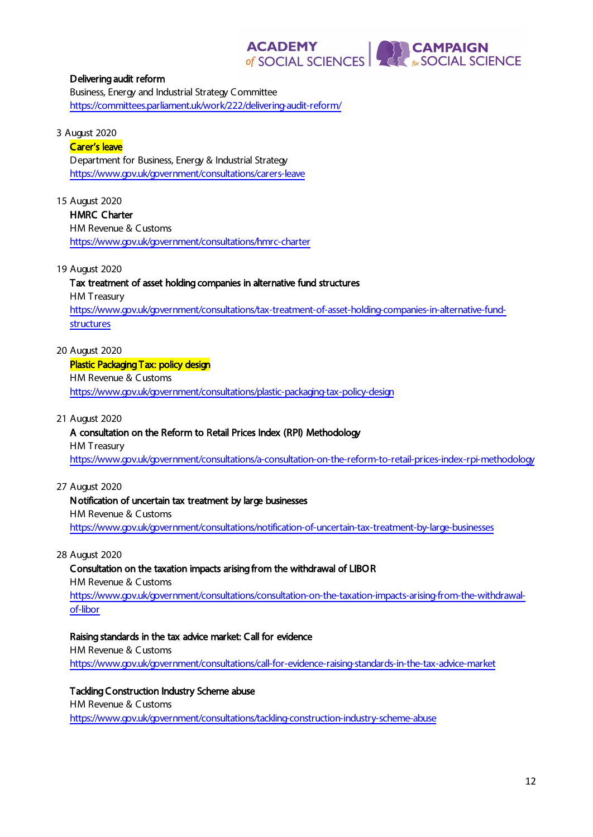

#### Delivering audit reform

Business, Energy and Industrial Strategy Committee <https://committees.parliament.uk/work/222/delivering-audit-reform/>

#### 3 August 2020

#### Carer's leave

Department for Business, Energy & Industrial Strategy <https://www.gov.uk/government/consultations/carers-leave>

#### 15 August 2020

HMRC Charter HM Revenue & Customs <https://www.gov.uk/government/consultations/hmrc-charter>

#### 19 August 2020

## Tax treatment of asset holding companies in alternative fund structures

HM Treasury

[https://www.gov.uk/government/consultations/tax-treatment-of-asset-holding-companies-in-alternative-fund](https://www.gov.uk/government/consultations/tax-treatment-of-asset-holding-companies-in-alternative-fund-structures)[structures](https://www.gov.uk/government/consultations/tax-treatment-of-asset-holding-companies-in-alternative-fund-structures)

#### 20 August 2020

# Plastic Packaging Tax: policy design

HM Revenue & Customs <https://www.gov.uk/government/consultations/plastic-packaging-tax-policy-design>

#### 21 August 2020

# A consultation on the Reform to Retail Prices Index (RPI) Methodology

HM Treasury

<https://www.gov.uk/government/consultations/a-consultation-on-the-reform-to-retail-prices-index-rpi-methodology>

## 27 August 2020

## Notification of uncertain tax treatment by large businesses

HM Revenue & Customs

<https://www.gov.uk/government/consultations/notification-of-uncertain-tax-treatment-by-large-businesses>

#### 28 August 2020

## Consultation on the taxation impacts arising from the withdrawal of LIBO R

HM Revenue & Customs [https://www.gov.uk/government/consultations/consultation-on-the-taxation-impacts-arising-from-the-withdrawal](https://www.gov.uk/government/consultations/consultation-on-the-taxation-impacts-arising-from-the-withdrawal-of-libor)[of-libor](https://www.gov.uk/government/consultations/consultation-on-the-taxation-impacts-arising-from-the-withdrawal-of-libor)

## Raising standards in the tax advice market: Call for evidence

HM Revenue & Customs <https://www.gov.uk/government/consultations/call-for-evidence-raising-standards-in-the-tax-advice-market>

# Tackling Construction Industry Scheme abuse HM Revenue & Customs

<https://www.gov.uk/government/consultations/tackling-construction-industry-scheme-abuse>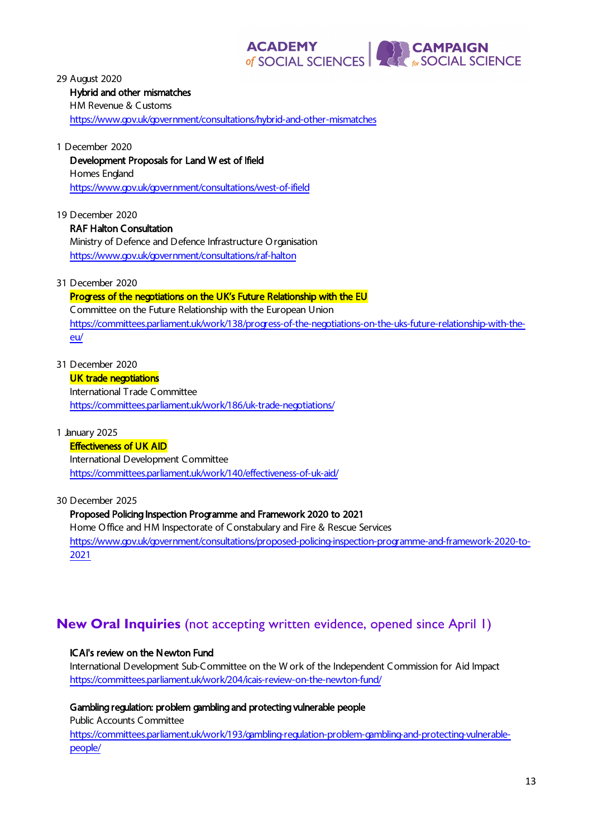

29 August 2020 Hybrid and other mismatches HM Revenue & Customs <https://www.gov.uk/government/consultations/hybrid-and-other-mismatches>

1 December 2020 Development Proposals for Land W est of Ifield Homes England <https://www.gov.uk/government/consultations/west-of-ifield>

19 December 2020 RAF Halton Consultation Ministry of Defence and Defence Infrastructure O rganisation <https://www.gov.uk/government/consultations/raf-halton>

31 December 2020

## Progress of the negotiations on the UK's Future Relationship with the EU Committee on the Future Relationship with the European Union [https://committees.parliament.uk/work/138/progress-of-the-negotiations-on-the-uks-future-relationship-with-the-](https://committees.parliament.uk/work/138/progress-of-the-negotiations-on-the-uks-future-relationship-with-the-eu/)

[eu/](https://committees.parliament.uk/work/138/progress-of-the-negotiations-on-the-uks-future-relationship-with-the-eu/)

31 December 2020

# UK trade negotiations

International Trade Committee <https://committees.parliament.uk/work/186/uk-trade-negotiations/>

1 January 2025

## **Effectiveness of UK AID**

International Development Committee <https://committees.parliament.uk/work/140/effectiveness-of-uk-aid/>

30 December 2025

#### Proposed Policing Inspection Programme and Framework 2020 to 2021

Home O ffice and HM Inspectorate of Constabulary and Fire & Rescue Services [https://www.gov.uk/government/consultations/proposed-policing-inspection-programme-and-framework-2020-to-](https://www.gov.uk/government/consultations/proposed-policing-inspection-programme-and-framework-2020-to-2021)[2021](https://www.gov.uk/government/consultations/proposed-policing-inspection-programme-and-framework-2020-to-2021)

# **New Oral Inquiries** (not accepting written evidence, opened since April 1)

## ICAI's review on the Newton Fund

International Development Sub-Committee on the W ork of the Independent Commission for Aid Impact <https://committees.parliament.uk/work/204/icais-review-on-the-newton-fund/>

## Gambling regulation: problem gambling and protecting vulnerable people

Public Accounts Committee

[https://committees.parliament.uk/work/193/gambling-regulation-problem-gambling-and-protecting-vulnerable](https://committees.parliament.uk/work/193/gambling-regulation-problem-gambling-and-protecting-vulnerable-people/)[people/](https://committees.parliament.uk/work/193/gambling-regulation-problem-gambling-and-protecting-vulnerable-people/)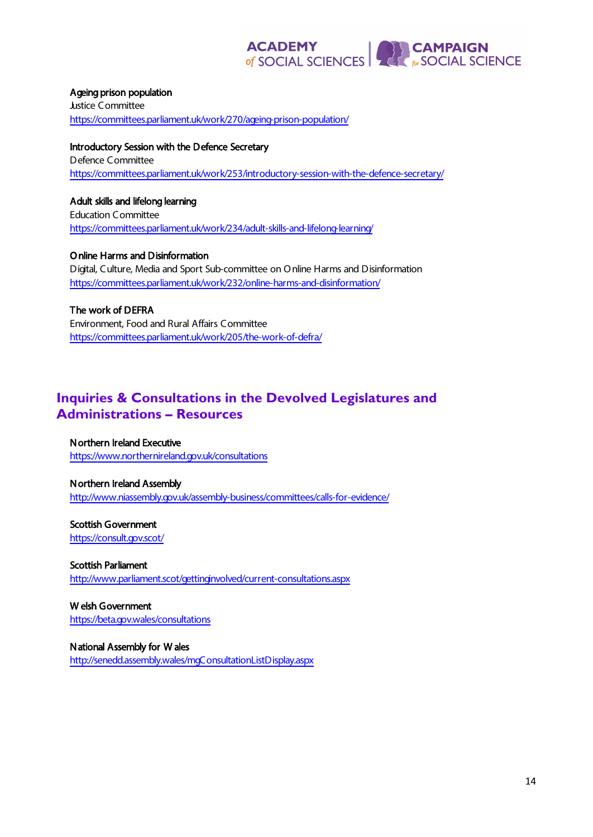# **ACADEMY**<br> **OF SOCIAL SCIENCES**

#### Ageing prison population

Justice Committee <https://committees.parliament.uk/work/270/ageing-prison-population/>

Introductory Session with the Defence Secretary Defence Committee <https://committees.parliament.uk/work/253/introductory-session-with-the-defence-secretary/>

#### Adult skills and lifelong learning

Education Committee <https://committees.parliament.uk/work/234/adult-skills-and-lifelong-learning/>

O nline Harms and Disinformation Digital, Culture, Media and Sport Sub-committee on O nline Harms and Disinformation <https://committees.parliament.uk/work/232/online-harms-and-disinformation/>

The work of DEFRA Environment, Food and Rural Affairs Committee <https://committees.parliament.uk/work/205/the-work-of-defra/>

# **Inquiries & Consultations in the Devolved Legislatures and Administrations – Resources**

Northern Ireland Executive <https://www.northernireland.gov.uk/consultations>

Northern Ireland Assembly <http://www.niassembly.gov.uk/assembly-business/committees/calls-for-evidence/>

Scottish Government <https://consult.gov.scot/>

Scottish Parliament <http://www.parliament.scot/gettinginvolved/current-consultations.aspx>

W elsh Government <https://beta.gov.wales/consultations>

National Assembly for W ales <http://senedd.assembly.wales/mgConsultationListDisplay.aspx>